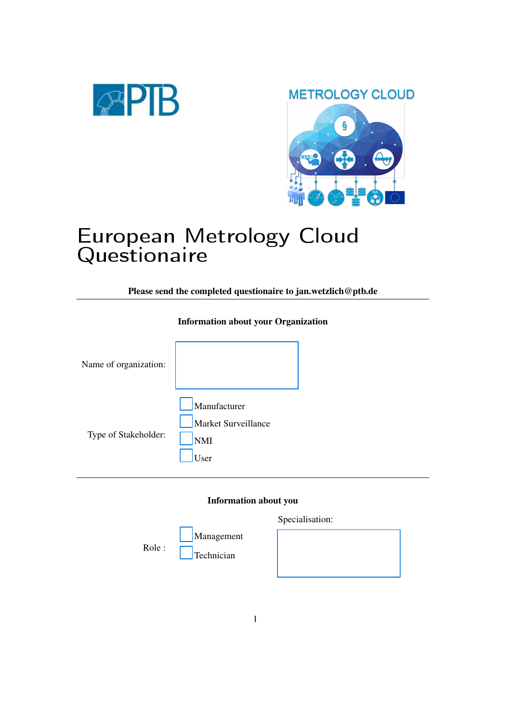

## **METROLOGY CLOUD**



## European Metrology Cloud Questionaire

Please send the completed questionaire to jan.wetzlich@ptb.de

Information about your Organization

| Name of organization: |                                                           |
|-----------------------|-----------------------------------------------------------|
| Type of Stakeholder:  | Manufacturer<br>Market Surveillance<br><b>NMI</b><br>Iser |

## Information about you

Specialisation:

Role :

 $\bigcirc$  Technician

 $\bigcirc$  Management

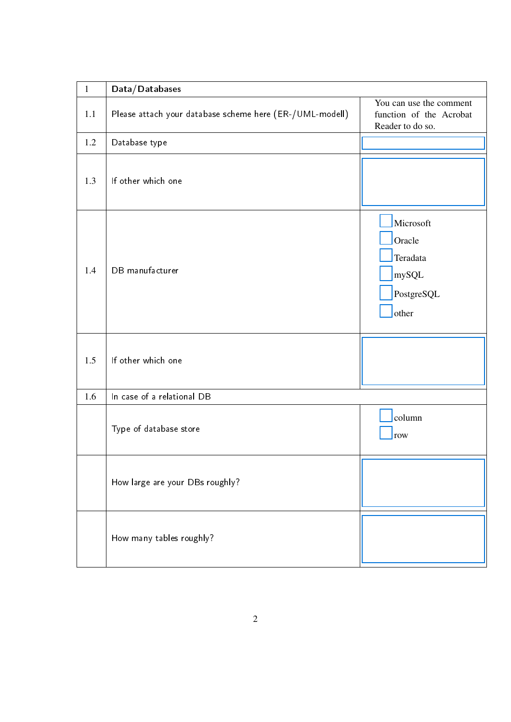| $\mathbf{1}$ | Data/Databases                                           |                                                                        |
|--------------|----------------------------------------------------------|------------------------------------------------------------------------|
| 1.1          | Please attach your database scheme here (ER-/UML-modell) | You can use the comment<br>function of the Acrobat<br>Reader to do so. |
| 1.2          | Database type                                            | $\mathbf{r}$                                                           |
| 1.3          | If other which one                                       |                                                                        |
| 1.4          | DB manufacturer                                          | Microsoft<br>Oracle<br>Teradata<br>mySQL<br>PostgreSQL<br>other        |
| 1.5          | If other which one                                       |                                                                        |
| 1.6          | In case of a relational DB                               |                                                                        |
|              | Type of database store                                   | column<br>$\cup$ row                                                   |
|              | How large are your DBs roughly?                          |                                                                        |
|              | How many tables roughly?                                 |                                                                        |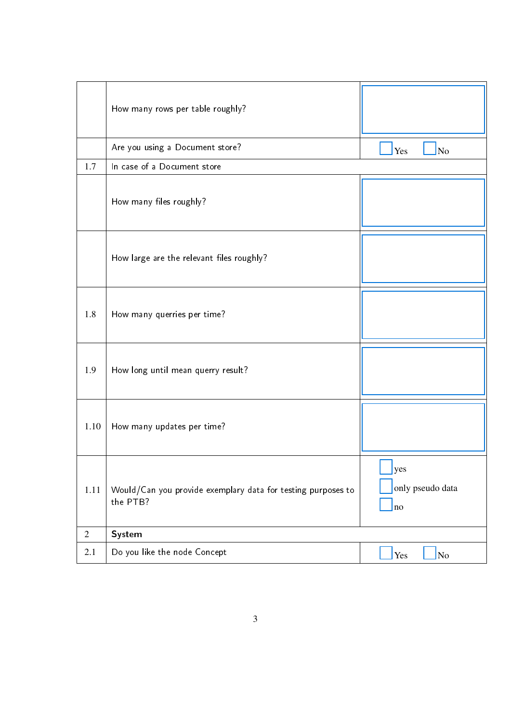|                | How many rows per table roughly?                                         |                                                      |
|----------------|--------------------------------------------------------------------------|------------------------------------------------------|
|                | Are you using a Document store?                                          | $\bigcirc$ Yes<br>$\bigcirc$ No                      |
| 1.7            | In case of a Document store                                              |                                                      |
|                | How many files roughly?                                                  |                                                      |
|                | How large are the relevant files roughly?                                |                                                      |
| 1.8            | How many querries per time?                                              |                                                      |
| 1.9            | How long until mean querry result?                                       |                                                      |
| 1.10           | How many updates per time?                                               |                                                      |
| 1.11           | Would/Can you provide exemplary data for testing purposes to<br>the PTB? | $\bigcup$ yes<br>O only pseudo data<br>$\bigcirc$ no |
| $\overline{2}$ | System                                                                   |                                                      |
| 2.1            | Do you like the node Concept                                             | $\bigcup$ Yes<br>$\bigcup$ No                        |